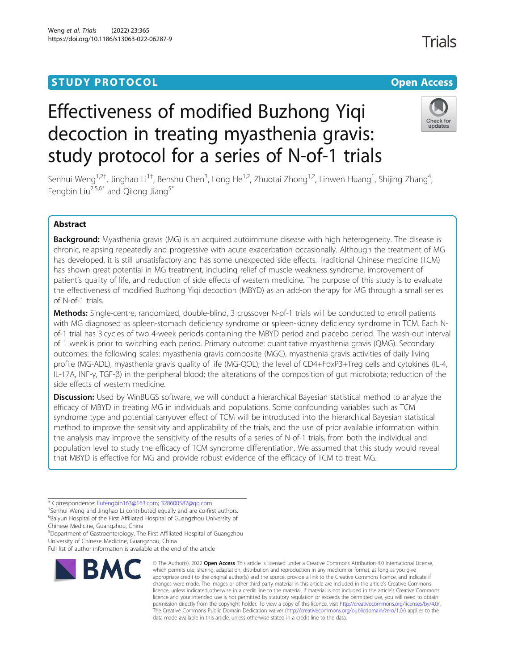# **STUDY PROTOCOL CONSUMING THE RESERVE ACCESS**

# Effectiveness of modified Buzhong Yiqi decoction in treating myasthenia gravis: study protocol for a series of N-of-1 trials



Senhui Weng<sup>1,2†</sup>, Jinghao Li<sup>1†</sup>, Benshu Chen<sup>3</sup>, Long He<sup>1,2</sup>, Zhuotai Zhong<sup>1,2</sup>, Linwen Huang<sup>1</sup>, Shijing Zhang<sup>4</sup> , Fengbin Liu<sup>2,5,6\*</sup> and Qilong Jiang<sup>5\*</sup>

## Abstract

Background: Myasthenia gravis (MG) is an acquired autoimmune disease with high heterogeneity. The disease is chronic, relapsing repeatedly and progressive with acute exacerbation occasionally. Although the treatment of MG has developed, it is still unsatisfactory and has some unexpected side effects. Traditional Chinese medicine (TCM) has shown great potential in MG treatment, including relief of muscle weakness syndrome, improvement of patient's quality of life, and reduction of side effects of western medicine. The purpose of this study is to evaluate the effectiveness of modified Buzhong Yiqi decoction (MBYD) as an add-on therapy for MG through a small series of N-of-1 trials.

Methods: Single-centre, randomized, double-blind, 3 crossover N-of-1 trials will be conducted to enroll patients with MG diagnosed as spleen-stomach deficiency syndrome or spleen-kidney deficiency syndrome in TCM. Each Nof-1 trial has 3 cycles of two 4-week periods containing the MBYD period and placebo period. The wash-out interval of 1 week is prior to switching each period. Primary outcome: quantitative myasthenia gravis (QMG). Secondary outcomes: the following scales: myasthenia gravis composite (MGC), myasthenia gravis activities of daily living profile (MG-ADL), myasthenia gravis quality of life (MG-QOL); the level of CD4+FoxP3+Treg cells and cytokines (IL-4, IL-17A, INF-γ, TGF-β) in the peripheral blood; the alterations of the composition of gut microbiota; reduction of the side effects of western medicine.

Discussion: Used by WinBUGS software, we will conduct a hierarchical Bayesian statistical method to analyze the efficacy of MBYD in treating MG in individuals and populations. Some confounding variables such as TCM syndrome type and potential carryover effect of TCM will be introduced into the hierarchical Bayesian statistical method to improve the sensitivity and applicability of the trials, and the use of prior available information within the analysis may improve the sensitivity of the results of a series of N-of-1 trials, from both the individual and population level to study the efficacy of TCM syndrome differentiation. We assumed that this study would reveal that MBYD is effective for MG and provide robust evidence of the efficacy of TCM to treat MG.

<sup>+</sup>Senhui Weng and Jinghao Li contributed equally and are co-first authors. 6 Baiyun Hospital of the First Affiliated Hospital of Guangzhou University of

5 Department of Gastroenterology, The First Affiliated Hospital of Guangzhou University of Chinese Medicine, Guangzhou, China

Full list of author information is available at the end of the article



<sup>©</sup> The Author(s), 2022 **Open Access** This article is licensed under a Creative Commons Attribution 4.0 International License, which permits use, sharing, adaptation, distribution and reproduction in any medium or format, as long as you give appropriate credit to the original author(s) and the source, provide a link to the Creative Commons licence, and indicate if changes were made. The images or other third party material in this article are included in the article's Creative Commons licence, unless indicated otherwise in a credit line to the material. If material is not included in the article's Creative Commons licence and your intended use is not permitted by statutory regulation or exceeds the permitted use, you will need to obtain permission directly from the copyright holder. To view a copy of this licence, visit [http://creativecommons.org/licenses/by/4.0/.](http://creativecommons.org/licenses/by/4.0/) The Creative Commons Public Domain Dedication waiver [\(http://creativecommons.org/publicdomain/zero/1.0/](http://creativecommons.org/publicdomain/zero/1.0/)) applies to the data made available in this article, unless otherwise stated in a credit line to the data.

<sup>\*</sup> Correspondence: [liufengbin163@163.com](mailto:liufengbin163@163.com); [328600587@qq.com](mailto:328600587@qq.com) †

Chinese Medicine, Guangzhou, China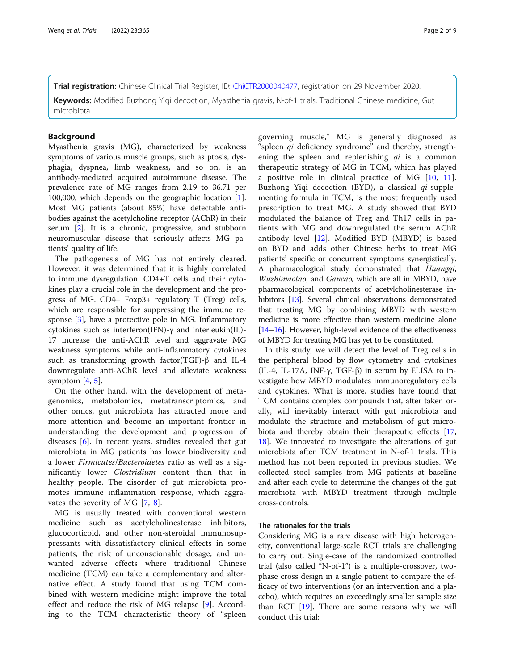Keywords: Modified Buzhong Yiqi decoction, Myasthenia gravis, N-of-1 trials, Traditional Chinese medicine, Gut microbiota

### **Background**

Myasthenia gravis (MG), characterized by weakness symptoms of various muscle groups, such as ptosis, dysphagia, dyspnea, limb weakness, and so on, is an antibody-mediated acquired autoimmune disease. The prevalence rate of MG ranges from 2.19 to 36.71 per 100,000, which depends on the geographic location [\[1](#page-7-0)]. Most MG patients (about 85%) have detectable antibodies against the acetylcholine receptor (AChR) in their serum [[2\]](#page-7-0). It is a chronic, progressive, and stubborn neuromuscular disease that seriously affects MG patients' quality of life.

The pathogenesis of MG has not entirely cleared. However, it was determined that it is highly correlated to immune dysregulation. CD4+T cells and their cytokines play a crucial role in the development and the progress of MG. CD4+ Foxp3+ regulatory T (Treg) cells, which are responsible for suppressing the immune response [\[3](#page-7-0)], have a protective pole in MG. Inflammatory cytokines such as interferon(IFN)-γ and interleukin(IL)- 17 increase the anti-AChR level and aggravate MG weakness symptoms while anti-inflammatory cytokines such as transforming growth factor(TGF)-β and IL-4 downregulate anti-AChR level and alleviate weakness symptom  $[4, 5]$  $[4, 5]$  $[4, 5]$  $[4, 5]$ .

On the other hand, with the development of metagenomics, metabolomics, metatranscriptomics, and other omics, gut microbiota has attracted more and more attention and become an important frontier in understanding the development and progression of diseases [\[6\]](#page-7-0). In recent years, studies revealed that gut microbiota in MG patients has lower biodiversity and a lower Firmicutes/Bacteroidetes ratio as well as a significantly lower Clostridium content than that in healthy people. The disorder of gut microbiota promotes immune inflammation response, which aggravates the severity of MG [[7,](#page-7-0) [8\]](#page-7-0).

MG is usually treated with conventional western medicine such as acetylcholinesterase inhibitors, glucocorticoid, and other non-steroidal immunosuppressants with dissatisfactory clinical effects in some patients, the risk of unconscionable dosage, and unwanted adverse effects where traditional Chinese medicine (TCM) can take a complementary and alternative effect. A study found that using TCM combined with western medicine might improve the total effect and reduce the risk of MG relapse [[9\]](#page-7-0). According to the TCM characteristic theory of "spleen

governing muscle," MG is generally diagnosed as "spleen *qi* deficiency syndrome" and thereby, strengthening the spleen and replenishing  $qi$  is a common therapeutic strategy of MG in TCM, which has played a positive role in clinical practice of MG [[10,](#page-7-0) [11](#page-7-0)]. Buzhong Yiqi decoction (BYD), a classical  $qi$ -supplementing formula in TCM, is the most frequently used prescription to treat MG. A study showed that BYD modulated the balance of Treg and Th17 cells in patients with MG and downregulated the serum AChR antibody level [[12\]](#page-7-0). Modified BYD (MBYD) is based on BYD and adds other Chinese herbs to treat MG patients' specific or concurrent symptoms synergistically. A pharmacological study demonstrated that Huangqi, Wuzhimaotao, and Gancao, which are all in MBYD, have pharmacological components of acetylcholinesterase in-hibitors [\[13\]](#page-7-0). Several clinical observations demonstrated that treating MG by combining MBYD with western medicine is more effective than western medicine alone [[14](#page-7-0)–[16\]](#page-7-0). However, high-level evidence of the effectiveness of MBYD for treating MG has yet to be constituted.

In this study, we will detect the level of Treg cells in the peripheral blood by flow cytometry and cytokines (IL-4, IL-17A, INF- $\gamma$ , TGF- $\beta$ ) in serum by ELISA to investigate how MBYD modulates immunoregulatory cells and cytokines. What is more, studies have found that TCM contains complex compounds that, after taken orally, will inevitably interact with gut microbiota and modulate the structure and metabolism of gut microbiota and thereby obtain their therapeutic effects [[17](#page-7-0), [18\]](#page-7-0). We innovated to investigate the alterations of gut microbiota after TCM treatment in N-of-1 trials. This method has not been reported in previous studies. We collected stool samples from MG patients at baseline and after each cycle to determine the changes of the gut microbiota with MBYD treatment through multiple cross-controls.

#### The rationales for the trials

Considering MG is a rare disease with high heterogeneity, conventional large-scale RCT trials are challenging to carry out. Single-case of the randomized controlled trial (also called "N-of-1") is a multiple-crossover, twophase cross design in a single patient to compare the efficacy of two interventions (or an intervention and a placebo), which requires an exceedingly smaller sample size than RCT  $[19]$  $[19]$ . There are some reasons why we will conduct this trial: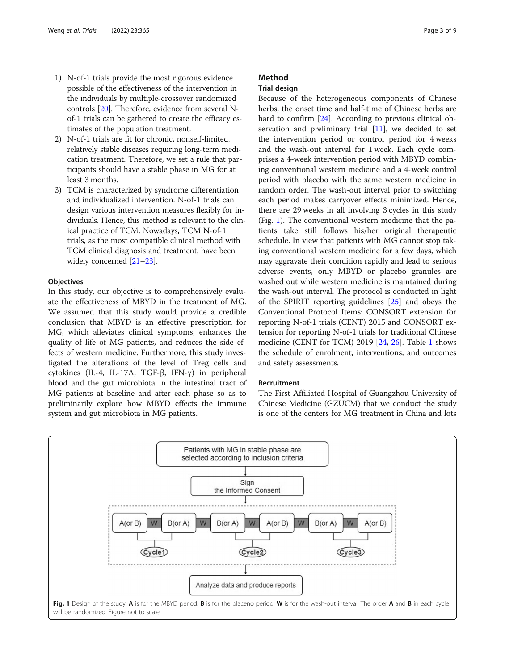- 1) N-of-1 trials provide the most rigorous evidence possible of the effectiveness of the intervention in the individuals by multiple-crossover randomized controls [\[20\]](#page-7-0). Therefore, evidence from several Nof-1 trials can be gathered to create the efficacy estimates of the population treatment.
- 2) N-of-1 trials are fit for chronic, nonself-limited, relatively stable diseases requiring long-term medication treatment. Therefore, we set a rule that participants should have a stable phase in MG for at least 3 months.
- 3) TCM is characterized by syndrome differentiation and individualized intervention. N-of-1 trials can design various intervention measures flexibly for individuals. Hence, this method is relevant to the clinical practice of TCM. Nowadays, TCM N-of-1 trials, as the most compatible clinical method with TCM clinical diagnosis and treatment, have been widely concerned [[21](#page-7-0)–[23\]](#page-7-0).

#### **Objectives**

In this study, our objective is to comprehensively evaluate the effectiveness of MBYD in the treatment of MG. We assumed that this study would provide a credible conclusion that MBYD is an effective prescription for MG, which alleviates clinical symptoms, enhances the quality of life of MG patients, and reduces the side effects of western medicine. Furthermore, this study investigated the alterations of the level of Treg cells and cytokines (IL-4, IL-17A, TGF-β, IFN-γ) in peripheral blood and the gut microbiota in the intestinal tract of MG patients at baseline and after each phase so as to preliminarily explore how MBYD effects the immune system and gut microbiota in MG patients.

### Method

#### Trial design

Because of the heterogeneous components of Chinese herbs, the onset time and half-time of Chinese herbs are hard to confirm [[24](#page-7-0)]. According to previous clinical observation and preliminary trial [\[11](#page-7-0)], we decided to set the intervention period or control period for 4 weeks and the wash-out interval for 1 week. Each cycle comprises a 4-week intervention period with MBYD combining conventional western medicine and a 4-week control period with placebo with the same western medicine in random order. The wash-out interval prior to switching each period makes carryover effects minimized. Hence, there are 29 weeks in all involving 3 cycles in this study (Fig. 1). The conventional western medicine that the patients take still follows his/her original therapeutic schedule. In view that patients with MG cannot stop taking conventional western medicine for a few days, which may aggravate their condition rapidly and lead to serious adverse events, only MBYD or placebo granules are washed out while western medicine is maintained during the wash-out interval. The protocol is conducted in light of the SPIRIT reporting guidelines [[25\]](#page-7-0) and obeys the Conventional Protocol Items: CONSORT extension for reporting N-of-1 trials (CENT) 2015 and CONSORT extension for reporting N-of-1 trials for traditional Chinese medicine (CENT for TCM) 2019 [\[24](#page-7-0), [26](#page-7-0)]. Table [1](#page-3-0) shows the schedule of enrolment, interventions, and outcomes and safety assessments.

#### Recruitment

The First Affiliated Hospital of Guangzhou University of Chinese Medicine (GZUCM) that we conduct the study is one of the centers for MG treatment in China and lots

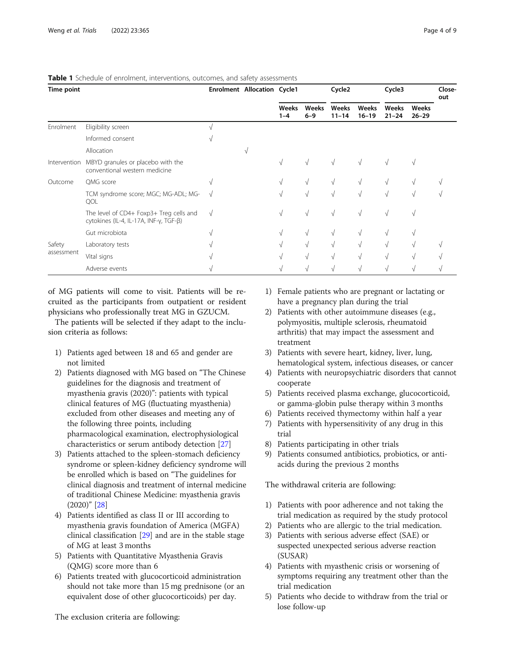| Time point           |                                                                                   |            | Enrolment Allocation Cycle1 |                  |                  | Cycle <sub>2</sub> |                    | Cycle3             |                    | Close-<br>out |
|----------------------|-----------------------------------------------------------------------------------|------------|-----------------------------|------------------|------------------|--------------------|--------------------|--------------------|--------------------|---------------|
|                      |                                                                                   |            |                             | Weeks<br>$1 - 4$ | Weeks<br>$6 - 9$ | Weeks<br>$11 - 14$ | Weeks<br>$16 - 19$ | Weeks<br>$21 - 24$ | Weeks<br>$26 - 29$ |               |
| Enrolment            | Eligibility screen                                                                |            |                             |                  |                  |                    |                    |                    |                    |               |
|                      | Informed consent                                                                  |            |                             |                  |                  |                    |                    |                    |                    |               |
|                      | Allocation                                                                        |            | V                           |                  |                  |                    |                    |                    |                    |               |
| Intervention         | MBYD granules or placebo with the<br>conventional western medicine                |            |                             | V                | $\sqrt{ }$       |                    |                    |                    |                    |               |
| Outcome              | QMG score                                                                         |            |                             | λl               | $\sqrt{ }$       |                    |                    |                    |                    |               |
|                      | TCM syndrome score; MGC; MG-ADL; MG-<br>QOL                                       | $\sqrt{ }$ |                             | $\sqrt{ }$       | $\sqrt{ }$       |                    |                    |                    |                    |               |
|                      | The level of CD4+ Foxp3+ Treg cells and<br>cytokines (IL-4, IL-17A, INF-γ, TGF-β) | $\sqrt{ }$ |                             | V                | $\sqrt{ }$       |                    |                    |                    |                    |               |
|                      | Gut microbiota                                                                    |            |                             | λl               | V                | λľ                 | $\sqrt{ }$         |                    |                    |               |
| Safety<br>assessment | Laboratory tests                                                                  |            |                             |                  | $\sqrt{ }$       |                    | $\sqrt{ }$         |                    |                    |               |
|                      | Vital signs                                                                       |            |                             |                  | $\sqrt{ }$       |                    |                    |                    |                    |               |
|                      | Adverse events                                                                    |            |                             |                  | N                |                    |                    |                    |                    |               |

#### <span id="page-3-0"></span>Table 1 Schedule of enrolment, interventions, outcomes, and safety assessments

of MG patients will come to visit. Patients will be recruited as the participants from outpatient or resident physicians who professionally treat MG in GZUCM.

The patients will be selected if they adapt to the inclusion criteria as follows:

- 1) Patients aged between 18 and 65 and gender are not limited
- 2) Patients diagnosed with MG based on "The Chinese guidelines for the diagnosis and treatment of myasthenia gravis (2020)": patients with typical clinical features of MG (fluctuating myasthenia) excluded from other diseases and meeting any of the following three points, including pharmacological examination, electrophysiological characteristics or serum antibody detection [\[27\]](#page-7-0)
- 3) Patients attached to the spleen-stomach deficiency syndrome or spleen-kidney deficiency syndrome will be enrolled which is based on "The guidelines for clinical diagnosis and treatment of internal medicine of traditional Chinese Medicine: myasthenia gravis (2020)" [\[28\]](#page-7-0)
- 4) Patients identified as class II or III according to myasthenia gravis foundation of America (MGFA) clinical classification [\[29\]](#page-7-0) and are in the stable stage of MG at least 3 months
- 5) Patients with Quantitative Myasthenia Gravis (QMG) score more than 6
- 6) Patients treated with glucocorticoid administration should not take more than 15 mg prednisone (or an equivalent dose of other glucocorticoids) per day.

The exclusion criteria are following:

- 1) Female patients who are pregnant or lactating or have a pregnancy plan during the trial
- 2) Patients with other autoimmune diseases (e.g., polymyositis, multiple sclerosis, rheumatoid arthritis) that may impact the assessment and treatment
- 3) Patients with severe heart, kidney, liver, lung, hematological system, infectious diseases, or cancer
- 4) Patients with neuropsychiatric disorders that cannot cooperate
- 5) Patients received plasma exchange, glucocorticoid, or gamma-globin pulse therapy within 3 months
- 6) Patients received thymectomy within half a year
- 7) Patients with hypersensitivity of any drug in this trial
- 8) Patients participating in other trials
- 9) Patients consumed antibiotics, probiotics, or antiacids during the previous 2 months

The withdrawal criteria are following:

- 1) Patients with poor adherence and not taking the trial medication as required by the study protocol
- 2) Patients who are allergic to the trial medication.
- 3) Patients with serious adverse effect (SAE) or suspected unexpected serious adverse reaction (SUSAR)
- 4) Patients with myasthenic crisis or worsening of symptoms requiring any treatment other than the trial medication
- 5) Patients who decide to withdraw from the trial or lose follow-up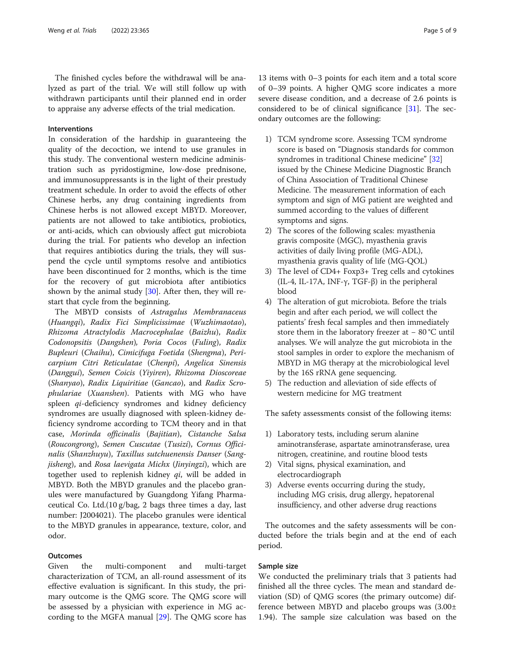The finished cycles before the withdrawal will be analyzed as part of the trial. We will still follow up with withdrawn participants until their planned end in order to appraise any adverse effects of the trial medication.

#### Interventions

In consideration of the hardship in guaranteeing the quality of the decoction, we intend to use granules in this study. The conventional western medicine administration such as pyridostigmine, low-dose prednisone, and immunosuppressants is in the light of their prestudy treatment schedule. In order to avoid the effects of other Chinese herbs, any drug containing ingredients from Chinese herbs is not allowed except MBYD. Moreover, patients are not allowed to take antibiotics, probiotics, or anti-acids, which can obviously affect gut microbiota during the trial. For patients who develop an infection that requires antibiotics during the trials, they will suspend the cycle until symptoms resolve and antibiotics have been discontinued for 2 months, which is the time for the recovery of gut microbiota after antibiotics shown by the animal study  $[30]$  $[30]$ . After then, they will restart that cycle from the beginning.

The MBYD consists of Astragalus Membranaceus (Huangqi), Radix Fici Simplicissimae (Wuzhimaotao), Rhizoma Atractylodis Macrocephalae (Baizhu), Radix Codonopsitis (Dangshen), Poria Cocos (Fuling), Radix Bupleuri (Chaihu), Cimicifuga Foetida (Shengma), Pericarpium Citri Reticulatae (Chenpi), Angelica Sinensis (Danggui), Semen Coicis (Yiyiren), Rhizoma Dioscoreae (Shanyao), Radix Liquiritiae (Gancao), and Radix Scrophulariae (Xuanshen). Patients with MG who have spleen *qi*-deficiency syndromes and kidney deficiency syndromes are usually diagnosed with spleen-kidney deficiency syndrome according to TCM theory and in that case, Morinda officinalis (Bajitian), Cistanche Salsa (Roucongrong), Semen Cuscutae (Tusizi), Cornus Officinalis (Shanzhuyu), Taxillus sutchuenensis Danser (Sangjisheng), and Rosa laevigata Michx (Jinyingzi), which are together used to replenish kidney  $qi$ , will be added in MBYD. Both the MBYD granules and the placebo granules were manufactured by Guangdong Yifang Pharmaceutical Co. Ltd.(10 g/bag, 2 bags three times a day, last number: J2004021). The placebo granules were identical to the MBYD granules in appearance, texture, color, and odor.

#### **Outcomes**

Given the multi-component and multi-target characterization of TCM, an all-round assessment of its effective evaluation is significant. In this study, the primary outcome is the QMG score. The QMG score will be assessed by a physician with experience in MG according to the MGFA manual [\[29](#page-7-0)]. The QMG score has

13 items with 0–3 points for each item and a total score of 0–39 points. A higher QMG score indicates a more severe disease condition, and a decrease of 2.6 points is considered to be of clinical significance [[31\]](#page-7-0). The secondary outcomes are the following:

- 1) TCM syndrome score. Assessing TCM syndrome score is based on "Diagnosis standards for common syndromes in traditional Chinese medicine" [\[32](#page-7-0)] issued by the Chinese Medicine Diagnostic Branch of China Association of Traditional Chinese Medicine. The measurement information of each symptom and sign of MG patient are weighted and summed according to the values of different symptoms and signs.
- 2) The scores of the following scales: myasthenia gravis composite (MGC), myasthenia gravis activities of daily living profile (MG-ADL), myasthenia gravis quality of life (MG-QOL)
- 3) The level of CD4+ Foxp3+ Treg cells and cytokines (IL-4, IL-17A, INF-γ, TGF-β) in the peripheral blood
- 4) The alteration of gut microbiota. Before the trials begin and after each period, we will collect the patients' fresh fecal samples and then immediately store them in the laboratory freezer at − 80 °C until analyses. We will analyze the gut microbiota in the stool samples in order to explore the mechanism of MBYD in MG therapy at the microbiological level by the 16S rRNA gene sequencing.
- 5) The reduction and alleviation of side effects of western medicine for MG treatment

The safety assessments consist of the following items:

- 1) Laboratory tests, including serum alanine aminotransferase, aspartate aminotransferase, urea nitrogen, creatinine, and routine blood tests
- 2) Vital signs, physical examination, and electrocardiograph
- 3) Adverse events occurring during the study, including MG crisis, drug allergy, hepatorenal insufficiency, and other adverse drug reactions

The outcomes and the safety assessments will be conducted before the trials begin and at the end of each period.

#### Sample size

We conducted the preliminary trials that 3 patients had finished all the three cycles. The mean and standard deviation (SD) of QMG scores (the primary outcome) difference between MBYD and placebo groups was (3.00± 1.94). The sample size calculation was based on the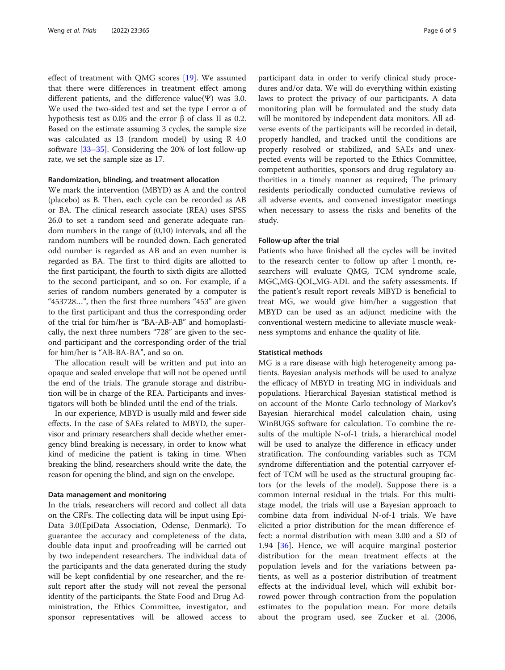effect of treatment with QMG scores [[19\]](#page-7-0). We assumed that there were differences in treatment effect among different patients, and the difference value(Ψ) was 3.0. We used the two-sided test and set the type I error  $\alpha$  of hypothesis test as 0.05 and the error β of class II as 0.2. Based on the estimate assuming 3 cycles, the sample size was calculated as 13 (random model) by using R 4.0 software [[33](#page-7-0)–[35](#page-7-0)]. Considering the 20% of lost follow-up rate, we set the sample size as 17.

#### Randomization, blinding, and treatment allocation

We mark the intervention (MBYD) as A and the control (placebo) as B. Then, each cycle can be recorded as AB or BA. The clinical research associate (REA) uses SPSS 26.0 to set a random seed and generate adequate random numbers in the range of (0,10) intervals, and all the random numbers will be rounded down. Each generated odd number is regarded as AB and an even number is regarded as BA. The first to third digits are allotted to the first participant, the fourth to sixth digits are allotted to the second participant, and so on. For example, if a series of random numbers generated by a computer is "453728…", then the first three numbers "453" are given to the first participant and thus the corresponding order of the trial for him/her is "BA-AB-AB" and homoplastically, the next three numbers "728" are given to the second participant and the corresponding order of the trial for him/her is "AB-BA-BA", and so on.

The allocation result will be written and put into an opaque and sealed envelope that will not be opened until the end of the trials. The granule storage and distribution will be in charge of the REA. Participants and investigators will both be blinded until the end of the trials.

In our experience, MBYD is usually mild and fewer side effects. In the case of SAEs related to MBYD, the supervisor and primary researchers shall decide whether emergency blind breaking is necessary, in order to know what kind of medicine the patient is taking in time. When breaking the blind, researchers should write the date, the reason for opening the blind, and sign on the envelope.

#### Data management and monitoring

In the trials, researchers will record and collect all data on the CRFs. The collecting data will be input using Epi-Data 3.0(EpiData Association, Odense, Denmark). To guarantee the accuracy and completeness of the data, double data input and proofreading will be carried out by two independent researchers. The individual data of the participants and the data generated during the study will be kept confidential by one researcher, and the result report after the study will not reveal the personal identity of the participants. the State Food and Drug Administration, the Ethics Committee, investigator, and sponsor representatives will be allowed access to participant data in order to verify clinical study procedures and/or data. We will do everything within existing laws to protect the privacy of our participants. A data monitoring plan will be formulated and the study data will be monitored by independent data monitors. All adverse events of the participants will be recorded in detail, properly handled, and tracked until the conditions are properly resolved or stabilized, and SAEs and unexpected events will be reported to the Ethics Committee, competent authorities, sponsors and drug regulatory authorities in a timely manner as required; The primary residents periodically conducted cumulative reviews of all adverse events, and convened investigator meetings when necessary to assess the risks and benefits of the study.

#### Follow-up after the trial

Patients who have finished all the cycles will be invited to the research center to follow up after 1 month, researchers will evaluate QMG, TCM syndrome scale, MGC,MG-QOL,MG-ADL and the safety assessments. If the patient's result report reveals MBYD is beneficial to treat MG, we would give him/her a suggestion that MBYD can be used as an adjunct medicine with the conventional western medicine to alleviate muscle weakness symptoms and enhance the quality of life.

#### Statistical methods

MG is a rare disease with high heterogeneity among patients. Bayesian analysis methods will be used to analyze the efficacy of MBYD in treating MG in individuals and populations. Hierarchical Bayesian statistical method is on account of the Monte Carlo technology of Markov's Bayesian hierarchical model calculation chain, using WinBUGS software for calculation. To combine the results of the multiple N-of-1 trials, a hierarchical model will be used to analyze the difference in efficacy under stratification. The confounding variables such as TCM syndrome differentiation and the potential carryover effect of TCM will be used as the structural grouping factors (or the levels of the model). Suppose there is a common internal residual in the trials. For this multistage model, the trials will use a Bayesian approach to combine data from individual N-of-1 trials. We have elicited a prior distribution for the mean difference effect: a normal distribution with mean 3.00 and a SD of 1.94 [[36\]](#page-8-0). Hence, we will acquire marginal posterior distribution for the mean treatment effects at the population levels and for the variations between patients, as well as a posterior distribution of treatment effects at the individual level, which will exhibit borrowed power through contraction from the population estimates to the population mean. For more details about the program used, see Zucker et al. (2006,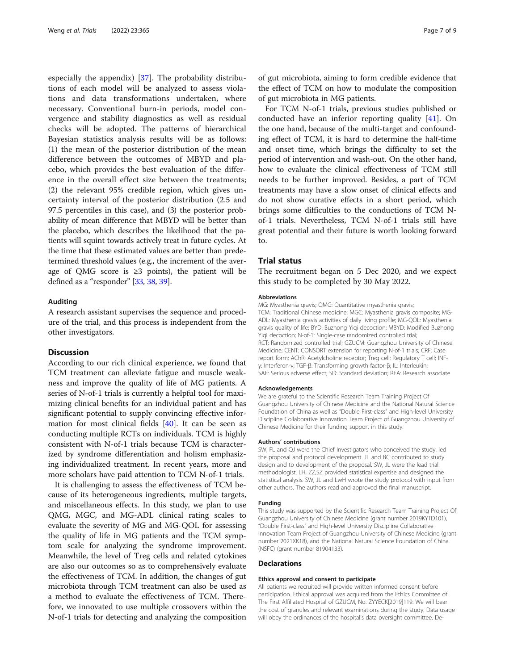especially the appendix) [[37\]](#page-8-0). The probability distributions of each model will be analyzed to assess violations and data transformations undertaken, where necessary. Conventional burn-in periods, model convergence and stability diagnostics as well as residual checks will be adopted. The patterns of hierarchical Bayesian statistics analysis results will be as follows: (1) the mean of the posterior distribution of the mean difference between the outcomes of MBYD and placebo, which provides the best evaluation of the difference in the overall effect size between the treatments; (2) the relevant 95% credible region, which gives uncertainty interval of the posterior distribution (2.5 and 97.5 percentiles in this case), and (3) the posterior probability of mean difference that MBYD will be better than the placebo, which describes the likelihood that the patients will squint towards actively treat in future cycles. At the time that these estimated values are better than predetermined threshold values (e.g., the increment of the average of QMG score is  $\geq$ 3 points), the patient will be defined as a "responder" [\[33,](#page-7-0) [38](#page-8-0), [39](#page-8-0)].

#### Auditing

A research assistant supervises the sequence and procedure of the trial, and this process is independent from the other investigators.

#### **Discussion**

According to our rich clinical experience, we found that TCM treatment can alleviate fatigue and muscle weakness and improve the quality of life of MG patients. A series of N-of-1 trials is currently a helpful tool for maximizing clinical benefits for an individual patient and has significant potential to supply convincing effective information for most clinical fields [[40\]](#page-8-0). It can be seen as conducting multiple RCTs on individuals. TCM is highly consistent with N-of-1 trials because TCM is characterized by syndrome differentiation and holism emphasizing individualized treatment. In recent years, more and more scholars have paid attention to TCM N-of-1 trials.

It is challenging to assess the effectiveness of TCM because of its heterogeneous ingredients, multiple targets, and miscellaneous effects. In this study, we plan to use QMG, MGC, and MG-ADL clinical rating scales to evaluate the severity of MG and MG-QOL for assessing the quality of life in MG patients and the TCM symptom scale for analyzing the syndrome improvement. Meanwhile, the level of Treg cells and related cytokines are also our outcomes so as to comprehensively evaluate the effectiveness of TCM. In addition, the changes of gut microbiota through TCM treatment can also be used as a method to evaluate the effectiveness of TCM. Therefore, we innovated to use multiple crossovers within the N-of-1 trials for detecting and analyzing the composition

of gut microbiota, aiming to form credible evidence that the effect of TCM on how to modulate the composition of gut microbiota in MG patients.

For TCM N-of-1 trials, previous studies published or conducted have an inferior reporting quality [\[41](#page-8-0)]. On the one hand, because of the multi-target and confounding effect of TCM, it is hard to determine the half-time and onset time, which brings the difficulty to set the period of intervention and wash-out. On the other hand, how to evaluate the clinical effectiveness of TCM still needs to be further improved. Besides, a part of TCM treatments may have a slow onset of clinical effects and do not show curative effects in a short period, which brings some difficulties to the conductions of TCM Nof-1 trials. Nevertheless, TCM N-of-1 trials still have great potential and their future is worth looking forward to.

#### Trial status

The recruitment began on 5 Dec 2020, and we expect this study to be completed by 30 May 2022.

#### Abbreviations

MG: Myasthenia gravis; QMG: Quantitative myasthenia gravis; TCM: Traditional Chinese medicine; MGC: Myasthenia gravis composite; MG-ADL: Myasthenia gravis activities of daily living profile; MG-QOL: Myasthenia gravis quality of life; BYD: Buzhong Yiqi decoction; MBYD: Modified Buzhong Yiqi decoction; N-of-1: Single-case randomized controlled trial; RCT: Randomized controlled trial; GZUCM: Guangzhou University of Chinese Medicine; CENT: CONSORT extension for reporting N-of-1 trials; CRF: Case report form; AChR: Acetylcholine receptor; Treg cell: Regulatory T cell; INFγ: Interferon-γ; TGF-β: Transforming growth factor-β; IL: Interleukin; SAE: Serious adverse effect; SD: Standard deviation; REA: Research associate

#### Acknowledgements

We are grateful to the Scientific Research Team Training Project Of Guangzhou University of Chinese Medicine and the National Natural Science Foundation of China as well as "Double First-class" and High-level University Discipline Collaborative Innovation Team Project of Guangzhou University of Chinese Medicine for their funding support in this study.

#### Authors' contributions

SW, FL and QJ were the Chief Investigators who conceived the study, led the proposal and protocol development. JL and BC contributed to study design and to development of the proposal. SW, JL were the lead trial methodologist. LH, ZZ,SZ provided statistical expertise and designed the statistical analysis. SW, JL and LwH wrote the study protocol with input from other authors. The authors read and approved the final manuscript.

#### Funding

This study was supported by the Scientific Research Team Training Project Of Guangzhou University of Chinese Medicine (grant number 2019KYTD101), "Double First-class" and High-level University Discipline Collaborative Innovation Team Project of Guangzhou University of Chinese Medicine (grant number 2021XK18), and the National Natural Science Foundation of China (NSFC) (grant number 81904133).

#### Declarations

#### Ethics approval and consent to participate

All patients we recruited will provide written informed consent before participation. Ethical approval was acquired from the Ethics Committee of The First Affiliated Hospital of GZUCM, No. ZYYECK[2019]119. We will bear the cost of granules and relevant examinations during the study. Data usage will obey the ordinances of the hospital's data oversight committee. De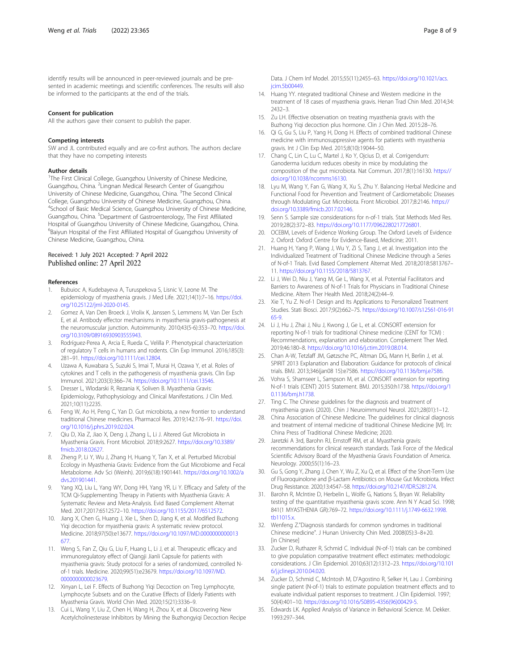<span id="page-7-0"></span>identify results will be announced in peer-reviewed journals and be presented in academic meetings and scientific conferences. The results will also be informed to the participants at the end of the trials.

#### Consent for publication

All the authors gave their consent to publish the paper.

#### Competing interests

SW and JL contributed equally and are co-first authors. The authors declare that they have no competing interests

#### Author details

<sup>1</sup>The First Clinical College, Guangzhou University of Chinese Medicine, Guangzhou, China. <sup>2</sup> Lingnan Medical Research Center of Guangzhou University of Chinese Medicine, Guangzhou, China. <sup>3</sup>The Second Clinical College, Guangzhou University of Chinese Medicine, Guangzhou, China. 4 School of Basic Medical Science, Guangzhou University of Chinese Medicine, Guangzhou, China. <sup>5</sup>Department of Gastroenterology, The First Affiliated Hospital of Guangzhou University of Chinese Medicine, Guangzhou, China. 6 Baiyun Hospital of the First Affiliated Hospital of Guangzhou University of Chinese Medicine, Guangzhou, China.

#### Received: 1 July 2021 Accepted: 7 April 2022 Published online: 27 April 2022

#### References

- Bubuioc A, Kudebayeva A, Turuspekova S, Lisnic V, Leone M. The epidemiology of myasthenia gravis. J Med Life. 2021;14(1):7–16. [https://doi.](https://doi.org/10.25122/jml-2020-0145) [org/10.25122/jml-2020-0145.](https://doi.org/10.25122/jml-2020-0145)
- 2. Gomez A, Van Den Broeck J, Vrolix K, Janssen S, Lemmens M, Van Der Esch E, et al. Antibody effector mechanisms in myasthenia gravis-pathogenesis at the neuromuscular junction. Autoimmunity. 2010;43(5-6):353–70. [https://doi.](https://doi.org/10.3109/08916930903555943) [org/10.3109/08916930903555943.](https://doi.org/10.3109/08916930903555943)
- 3. Rodríguez-Perea A, Arcia E, Rueda C, Velilla P. Phenotypical characterization of regulatory T cells in humans and rodents. Clin Exp Immunol. 2016;185(3): 281–91. <https://doi.org/10.1111/cei.12804>.
- Uzawa A, Kuwabara S, Suzuki S, Imai T, Murai H, Ozawa Y, et al. Roles of cytokines and T cells in the pathogenesis of myasthenia gravis. Clin Exp Immunol. 2021;203(3):366–74. [https://doi.org/10.1111/cei.13546.](https://doi.org/10.1111/cei.13546)
- 5. Dresser L, Wlodarski R, Rezania K, Soliven B. Myasthenia Gravis: Epidemiology, Pathophysiology and Clinical Manifestations. J Clin Med. 2021;10(11):2235.
- 6. Feng W, Ao H, Peng C, Yan D. Gut microbiota, a new frontier to understand traditional Chinese medicines. Pharmacol Res. 2019;142:176–91. [https://doi.](https://doi.org/10.1016/j.phrs.2019.02.024) [org/10.1016/j.phrs.2019.02.024](https://doi.org/10.1016/j.phrs.2019.02.024).
- 7. Qiu D, Xia Z, Jiao X, Deng J, Zhang L, Li J. Altered Gut Microbiota in Myasthenia Gravis. Front Microbiol. 2018;9:2627. [https://doi.org/10.3389/](https://doi.org/10.3389/fmicb.2018.02627) [fmicb.2018.02627.](https://doi.org/10.3389/fmicb.2018.02627)
- 8. Zheng P, Li Y, Wu J, Zhang H, Huang Y, Tan X, et al. Perturbed Microbial Ecology in Myasthenia Gravis: Evidence from the Gut Microbiome and Fecal Metabolome. Adv Sci (Weinh). 2019;6(18):1901441. [https://doi.org/10.1002/a](https://doi.org/10.1002/advs.201901441) [dvs.201901441](https://doi.org/10.1002/advs.201901441).
- Yang XQ, Liu L, Yang WY, Dong HH, Yang YR, Li Y. Efficacy and Safety of the TCM Qi-Supplementing Therapy in Patients with Myasthenia Gravis: A Systematic Review and Meta-Analysis. Evid Based Complement Alternat Med. 2017;2017:6512572–10. <https://doi.org/10.1155/2017/6512572>.
- 10. Jiang X, Chen G, Huang J, Xie L, Shen D, Jiang K, et al. Modified Buzhong Yiqi decoction for myasthenia gravis: A systematic review protocol. Medicine. 2018;97(50):e13677. [https://doi.org/10.1097/MD.0000000000013](https://doi.org/10.1097/MD.0000000000013677) [677.](https://doi.org/10.1097/MD.0000000000013677)
- 11. Weng S, Fan Z, Qiu G, Liu F, Huang L, Li J, et al. Therapeutic efficacy and immunoregulatory effect of Qiangji Jianli Capsule for patients with myasthenia gravis: Study protocol for a series of randomized, controlled Nof-1 trials. Medicine. 2020;99(51):e23679. [https://doi.org/10.1097/MD.](https://doi.org/10.1097/MD.0000000000023679) [0000000000023679](https://doi.org/10.1097/MD.0000000000023679).
- 12. Xinyan L, Lei F. Effects of Buzhong Yiqi Decoction on Treg Lymphocyte, Lymphocyte Subsets and on the Curative Effects of Elderly Patients with Myasthenia Gravis. World Chin Med. 2020;15(21):3336–9.
- 13. Cui L, Wang Y, Liu Z, Chen H, Wang H, Zhou X, et al. Discovering New Acetylcholinesterase Inhibitors by Mining the Buzhongyiqi Decoction Recipe

Data. J Chem Inf Model. 2015;55(11):2455–63. [https://doi.org/10.1021/acs.](https://doi.org/10.1021/acs.jcim.5b00449) [jcim.5b00449](https://doi.org/10.1021/acs.jcim.5b00449).

- 14. Huang YY. ntegrated traditional Chinese and Western medicine in the treatment of 18 cases of myasthenia gravis. Henan Trad Chin Med. 2014;34: 2432–3.
- 15. Zu LH. Effective observation on treating myasthenia gravis with the Buzhong Yiqi decoction plus hormone. Clin J Chin Med. 2015:28–76.
- 16. Qi G, Gu S, Liu P, Yang H, Dong H. Effects of combined traditional Chinese medicine with immunosuppressive agents for patients with myasthenia gravis. Int J Clin Exp Med. 2015;8(10):19044–50.
- 17. Chang C, Lin C, Lu C, Martel J, Ko Y, Ojcius D, et al. Corrigendum: Ganoderma lucidum reduces obesity in mice by modulating the composition of the gut microbiota. Nat Commun. 2017;8(1):16130. [https://](https://doi.org/10.1038/ncomms16130) [doi.org/10.1038/ncomms16130](https://doi.org/10.1038/ncomms16130).
- 18. Lyu M, Wang Y, Fan G, Wang X, Xu S, Zhu Y. Balancing Herbal Medicine and Functional Food for Prevention and Treatment of Cardiometabolic Diseases through Modulating Gut Microbiota. Front Microbiol. 2017;8:2146. [https://](https://doi.org/10.3389/fmicb.2017.02146) [doi.org/10.3389/fmicb.2017.02146.](https://doi.org/10.3389/fmicb.2017.02146)
- 19. Senn S. Sample size considerations for n-of-1 trials. Stat Methods Med Res. 2019;28(2):372–83. <https://doi.org/10.1177/0962280217726801>.
- 20. OCEBM, Levels of Evidence Working Group. The Oxford Levels of Evidence 2. Oxford: Oxford Centre for Evidence-Based, Medicine; 2011.
- 21. Huang H, Yang P, Wang J, Wu Y, Zi S, Tang J, et al. Investigation into the Individualized Treatment of Traditional Chinese Medicine through a Series of N-of-1 Trials. Evid Based Complement Alternat Med. 2018;2018:5813767– 11. <https://doi.org/10.1155/2018/5813767>.
- 22. Li J, Wei D, Niu J, Yang M, Ge L, Wang X, et al. Potential Facilitators and Barriers to Awareness of N-of-1 Trials for Physicians in Traditional Chinese Medicine. Altern Ther Health Med. 2018;24(2):44–9.
- 23. Xie T, Yu Z. N-of-1 Design and Its Applications to Personalized Treatment Studies. Stati Biosci. 2017;9(2):662–75. [https://doi.org/10.1007/s12561-016-91](https://doi.org/10.1007/s12561-016-9165-9) [65-9](https://doi.org/10.1007/s12561-016-9165-9).
- 24. Li J, Hu J, Zhai J, Niu J, Kwong J, Ge L, et al. CONSORT extension for reporting N-of-1 trials for traditional Chinese medicine (CENT for TCM) : Recommendations, explanation and elaboration. Complement Ther Med. 2019;46:180–8. [https://doi.org/10.1016/j.ctim.2019.08.014.](https://doi.org/10.1016/j.ctim.2019.08.014)
- 25. Chan A-W, Tetzlaff JM, Gøtzsche PC, Altman DG, Mann H, Berlin J, et al. SPIRIT 2013 Explanation and Elaboration: Guidance for protocols of clinical trials. BMJ. 2013;346(jan08 15):e7586. <https://doi.org/10.1136/bmj.e7586>.
- 26. Vohra S, Shamseer L, Sampson M, et al. CONSORT extension for reporting N-of-1 trials (CENT) 2015 Statement. BMJ. 2015;350:h1738. [https://doi.org/1](https://doi.org/10.1136/bmj.h1738) [0.1136/bmj.h1738](https://doi.org/10.1136/bmj.h1738).
- 27. Ting C. The Chinese guidelines for the diagnosis and treatment of myasthenia gravis (2020). Chin J Neuroimmunol Neurol. 2021;28(01):1–12.
- 28. China Association of Chinese Medicine. The guidelines for clinical diagnosis and treatment of internal medicine of traditional Chinese Medicine [M]. In: China Press of Traditional Chinese Medicine; 2020.
- 29. Jaretzki A 3rd, Barohn RJ, Ernstoff RM, et al. Myasthenia gravis: recommendations for clinical research standards. Task Force of the Medical Scientific Advisory Board of the Myasthenia Gravis Foundation of America. Neurology. 2000;55(1):16–23.
- 30. Gu S, Gong Y, Zhang J, Chen Y, Wu Z, Xu Q, et al. Effect of the Short-Term Use of Fluoroquinolone and β-Lactam Antibiotics on Mouse Gut Microbiota. Infect Drug Resistance. 2020;13:4547–58. <https://doi.org/10.2147/IDR.S281274>.
- 31. Barohn R, McIntire D, Herbelin L, Wolfe G, Nations S, Bryan W. Reliability testing of the quantitative myasthenia gravis score. Ann N Y Acad Sci. 1998; 841(1 MYASTHENIA GR):769–72. [https://doi.org/10.1111/j.1749-6632.1998.](https://doi.org/10.1111/j.1749-6632.1998.tb11015.x) [tb11015.x](https://doi.org/10.1111/j.1749-6632.1998.tb11015.x).
- 32. Wenfeng Z."Diagnosis standards for common syndromes in traditional Chinese medicine". J Hunan Univercity Chin Med. 2008(05):3–8+20. [in Chinese]
- 33. Zucker D, Ruthazer R, Schmid C. Individual (N-of-1) trials can be combined to give population comparative treatment effect estimates: methodologic considerations. J Clin Epidemiol. 2010;63(12):1312–23. [https://doi.org/10.101](https://doi.org/10.1016/j.jclinepi.2010.04.020) [6/j.jclinepi.2010.04.020.](https://doi.org/10.1016/j.jclinepi.2010.04.020)
- 34. Zucker D, Schmid C, McIntosh M, D'Agostino R, Selker H, Lau J. Combining single patient (N-of-1) trials to estimate population treatment effects and to evaluate individual patient responses to treatment. J Clin Epidemiol. 1997; 50(4):401–10. [https://doi.org/10.1016/S0895-4356\(96\)00429-5.](https://doi.org/10.1016/S0895-4356(96)00429-5)
- 35. Edwards LK. Applied Analysis of Variance in Behavioral Science. M. Dekker. 1993:297–344.